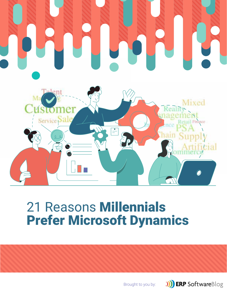

# 21 Reasons Millennials Prefer Microsoft Dynamics

Brought to you by:

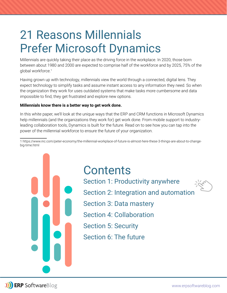# 21 Reasons Millennials Prefer Microsoft Dynamics

Millennials are quickly taking their place as the driving force in the workplace. In 2020, those born between about 1980 and 2000 are expected to comprise half of the workforce and by 2025, 75% of the global workforce.<sup>1</sup>

Having grown up with technology, millennials view the world through a connected, digital lens. They expect technology to simplify tasks and assume instant access to any information they need. So when the organization they work for uses outdated systems that make tasks more cumbersome and data impossible to find, they get frustrated and explore new options.

### **Millennials know there is a better way to get work done.**

In this white paper, we'll look at the unique ways that the ERP and CRM functions in Microsoft Dynamics help millennials (and the organizations they work for) get work done. From mobile support to industryleading collaboration tools, Dynamics is built for the future. Read on to see how you can tap into the power of the millennial workforce to ensure the future of your organization.

1 https://www.inc.com/peter-economy/the-millennial-workplace-of-future-is-almost-here-these-3-things-are-about-to-changebig-time.html

> **Contents** Section 1: Productivity anywhere Section 2: Integration and automation Section 3: Data mastery Section 4: Collaboration Section 5: Security Section 6: The future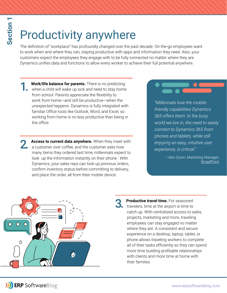# Productivity anywhere

The definition of "workplace" has profoundly changed over the past decade. On-the-go employees want to work when and where they can, staying productive with apps and information they need. Also, your customers expect the employees they engage with to be fully connected no matter where they are. Dynamics unifies data and functions to allow every worker to achieve their full potential anywhere.

**1. Work/life balance for parents.** There is no predicting when a child will wake up sick and need to stay home from school. Parents appreciate the flexibility to work from home*—*and still be productive*—*when the unexpected happens. Dynamics is fully integrated with familiar Office tools like Outlook, Word, and Excel, so working from home is no less productive than being in the office.

Access to current data anywhere. When they meet with a customer over coffee, and the customer asks how many items they ordered last time, millennials expect to look up the information instantly on their phone. With Dynamics, your sales reps can look up previous orders, confirm inventory status before committing to delivery, and place the order, all from their mobile device.

*"Millennials love the mobilefriendly capabilities Dynamics 365 offers them. In the busy world we live in, the need to easily connect to Dynamics 365 from phones and tablets, while still enjoying an easy, intuitive user experience, is critical."*

> —Alex Quinn, Marketing Manager, **BroadPoint**



**3.** Productive travel time. For seasoned<br>
travelers, time at the airport is time to catch up. With centralized access to sales. projects, marketing and more, traveling employees can stay engaged no matter where they are. A consistent and secure experience on a desktop, laptop, tablet, or phone allows traveling workers to complete all of their tasks efficiently so they can spend more time building profitable relationships with clients and more time at home with their families.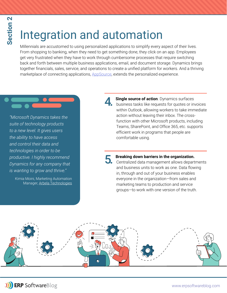# Integration and automation

Millennials are accustomed to using personalized applications to simplify every aspect of their lives. From shopping to banking, when they need to get something done, they click on an app. Employees get very frustrated when they have to work through cumbersome processes that require switching back and forth between multiple business applications, email, and document storage. Dynamics brings together financials, sales, service, and operations to create a unified platform for workers. And a thriving marketplace of connecting applications, AppSource, extends the personalized experience.

*"Microsoft Dynamics takes the suite of technology products to a new level. It gives users the ability to have access and control their data and technologies in order to be productive. I highly recommend Dynamics for any company that is wanting to grow and thrive."*

Kimia Moini, Marketing Automation Manager, Arbela Technologies **Single source of action**. Dynamics surfaces business tasks like requests for quotes or invoices within Outlook, allowing workers to take immediate action without leaving their inbox. The crossfunction with other Microsoft products, including Teams, SharePoint, and Office 365, etc. supports efficient work in programs that people are comfortable using.

5. **Breaking down barriers in the organization.**  Centralized data management allows departments and business units to work as one. Data flowing in, through and out of your business enables everyone in the organization*—*from sales and marketing teams to production and service groups*—*to work with one version of the truth.

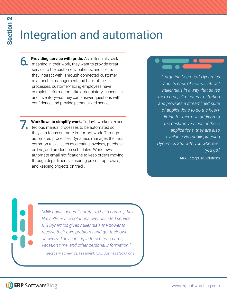# Integration and automation

- **6. Providing service with pride.** As millennials seek meaning in their work, they want to provide great service to the customers, patients, and clients they interact with. Through connected customer relationship management and back office processes, customer-facing employees have complete information—like order history, schedules, and inventory—so they can answer questions with confidence and provide personalized service.
- **7.** Workflows to simplify work. Today's workers expect tedious manual processes to be automated so they can focus on more important work. Through automated processes, Dynamics manages the most common tasks, such as creating invoices, purchase orders, and production schedules. Workflows automate email notifications to keep orders moving through departments, ensuring prompt approvals, and keeping projects on track.

*"Targeting Microsoft Dynamics and its ease of use will attract millennials in a way that saves them time, eliminates frustration and provides a streamlined suite of applications to do the heavy lifting for them. In addition to the desktop versions of these applications, they are also available via mobile, keeping Dynamics 365 with you wherever you go."*

AKA Enterprise Solutions

*"Millennials generally prefer to be in control, they like self-service solutions over assisted service. MS Dynamics gives millennials the power to resolve their own problems and get their own answers. They can log in to see time cards, vacation time, and other personal information."* George Mackiewicz, President, CAL Business Solutions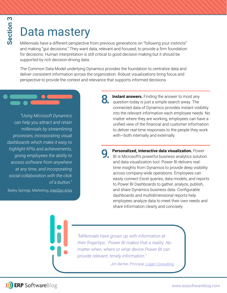# Data mastery

Millennials have a different perspective from previous generations on "following your instincts" and making "gut decisions." They want data, relevant and focused, to provide a firm foundation for decisions. Human interpretation is still critical to good decision making but it should be supported by rich decision-driving data.

The Common Data Model underlying Dynamics provides the foundation to centralize data and deliver consistent information across the organization. Robust visualizations bring focus and perspective to provide the context and relevance that supports informed decisions.

*"Using Microsoft Dynamics can help you attract and retain millennials by streamlining processes, incorporating visual dashboards which make it easy to highlight KPIs and achievements, giving employees the ability to access software from anywhere at any time, and incorporating social collaboration with the click of a button."*

Bailey Springs, Marketing, InterDyn Artis

**8.** Instant answers. Finding the answer to most any question today is just a simple search away. The connected data of Dynamics provides instant visibility into the relevant information each employee needs. No matter where they are working, employees can have a unified view of the financial and customer information to deliver real-time responses to the people they work with*—*both internally and externally.

**9. Personalized, interactive data visualization.** Power BI is Microsoft's powerful business analytics solution and data visualization tool. Power BI delivers realtime insights from Dynamics to provide deep visibility across company-wide operations. Employees can easily connect Excel queries, data models, and reports to Power BI Dashboards to gather, analyze, publish, and share Dynamics business data. Configurable dashboards and multidimensional reports help employees analyze data to meet their own needs and share information clearly and concisely.

*"Millennials have grown up with information at their fingertips. Power BI makes that a reality. No Matter when, where or what device Power BI can provide relevant, timely information."* 

Jim Bertler, Principal, Logan Consulting

**J)** ERP SoftwareBlog

www.erpsoftwareblog.com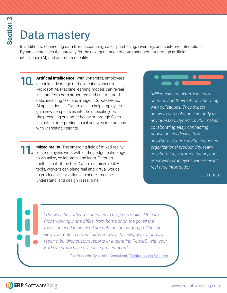# Data mastery

In addition to connecting data from accounting, sales, purchasing, inventory, and customer interactions, Dynamics provides the gateway for the next generation of data management through artificial intelligence (AI) and augmented reality.

**10. Artificial intelligence**. With Dynamics, employees can take advantage of the latest advances in Microsoft AI. Machine learning models can reveal insights from both structured and unstructured data, including text, and images. Out-of-the-box AI applications in Dynamics can help employees gain new perspectives into their specific jobs, like predicting customer behavior through Sales Insights or interpreting social and web interactions with Marketing Insights.

**11. Mixed reality.** The emerging field of mixed reality lets employees work with cutting edge technology to visualize, collaborate, and learn. Through multiple out-of-the-box Dynamics mixed reality tools, workers can blend real and virtual worlds to produce visualizations, to share, imagine, understand, and design in real time.

*"Millennials are extremely teamoriented and thrive off collaborating with colleagues. They expect answers and solutions instantly to any question. Dynamics 365 makes collaborating easy, connecting people on any device, from anywhere. Dynamics 365 enhances organizational productivity, team collaboration, communication, and empowers employees with relevant, real-time information."*

### FIELDBOSS

*"The way the software continues to progress makes life easier.*  From working in the office, from home or on the go, all the *tools you need to succeed are right at your fingertips. You can view your data in several different ways by using your standard*  reports, building custom reports or integrating PowerBI with your *ERP system to have a visual representation."*

Zac Richards, Dynamics Consultant, **T3 Information Systems**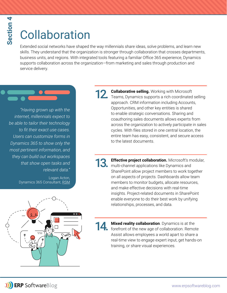# section 4 **Section 4**

# **Collaboration**

Extended social networks have shaped the way millennials share ideas, solve problems, and learn new skills. They understand that the organization is stronger through collaboration that crosses departments, business units, and regions. With integrated tools featuring a familiar Office 365 experience, Dynamics supports collaboration across the organization*—*from marketing and sales through production and service delivery.

*"Having grown up with the internet, millennials expect to be able to tailor their technology*  to fit their exact use cases. *Users can customize forms in Dynamics 365 to show only the most pertinent information, and they can build out workspaces that show open tasks and relevant data."*

> Logan Acton, Dynamics 365 Consultant, RSM



**12. Collaborative selling.** Working with Microsoft<br>Teams, Dynamics supports a rich coordinated selling approach. CRM information including Accounts, Opportunities, and other key entities is shared to enable strategic conversations. Sharing and coauthoring sales documents allows experts from across the organization to actively participate in sales cycles. With files stored in one central location, the entire team has easy, consistent, and secure access to the latest documents.

13. Effective project collaboration. Microsoft's modular, multi-channel applications like Dynamics and SharePoint allow project members to work together on all aspects of projects. Dashboards allow team members to monitor budgets, allocate resources, and make effective decisions with real-time insights. Project-related documents in SharePoint enable everyone to do their best work by unifying relationships, processes, and data.

> Mixed reality collaboration. Dynamics is at the forefront of the new age of collaboration. Remote Assist allows employees a world apart to share a real-time view to engage expert input, get hands-on training, or share visual experiences.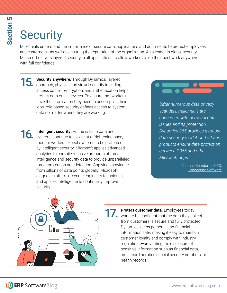# **Security**

Millennials understand the importance of secure data, applications and documents to protect employees and customers—as well as ensuring the reputation of the organization. As a leader in global security, Microsoft delivers layered security in all applications to allow workers to do their best work anywhere with full confidence.

15. Security anywhere. Through Dynamics' layered approach, physical and virtual security including access control, encryption, and authentication helps protect data on all devices. To ensure that workers have the information they need to accomplish their jobs, role-based security defines access to system data no matter where they are working.

**16.** Intelligent security. As the risks to data and systems continue to evolve at a frightening pace, modern workers expect systems to be protected by intelligent security. Microsoft applies advanced analytics to compile massive amounts of threat intelligence and security data to provide unparalleled threat protection and detection. Applying knowledge from billions of data points globally, Microsoft diagnoses attacks, reverse engineers techniques, and applies intelligence to continually improve security.



*"After numerous data privacy scandals, millennials are concerned with personal data issues and its protection. Dynamics 365 provides a robust data security model, and add-on products ensure data protection between D365 and other Microsoft apps."*

> Thomas Berndorfer, CEO, Connecting Software



**17.** Protect customer data. Employees today want to be confident that the data they collect from customers is secure and fully protected. Dynamics keeps personal and financial information safe, making it easy to maintain customer loyalty and comply with industry regulations*—*preventing the disclosure of sensitive information such as financial data. credit card numbers, social security numbers, or health records.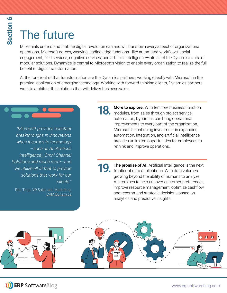### $\bullet$ **Section 6** Section

# The future

Millennials understand that the digital revolution can and will transform every aspect of organizational operations. Microsoft agrees, weaving leading edge functions-like automated workflows, social engagement, field services, cognitive services, and artificial intelligence—into all of the Dynamics suite of modular solutions. Dynamics is central to Microsoft's vision to enable every organization to realize the full benefit of digital transformation.

At the forefront of that transformation are the Dynamics partners, working directly with Microsoft in the practical application of emerging technology. Working with forward-thinking clients, Dynamics partners work to architect the solutions that will deliver business value.

*"Microsoft provides constant breakthroughs in innovations when it comes to technology*   $-$ such as AI (Artificial *Intelligence), Omni Channel Solutions and much more—and we utilize all of that to provide solutions that work for our clients."*

Rob Trigg, VP Sales and Marketing, CRM Dynamics 18. More to explore. With ten core business function<br>**18.** modules from sales through project service modules, from sales through project service automation, Dynamics can bring operational improvements to every part of the organization. Microsoft's continuing investment in expanding automation, integration, and artificial intelligence provides unlimited opportunities for employees to rethink and improve operations.

**19. The promise of AI.** Artificial Intelligence is the next frontier of data applications. With data volumes growing beyond the ability of humans to analyze, AI promises to help uncover customer preferences, improve resource management, optimize cashflow, and recommend strategic decisions based on analytics and predictive insights.

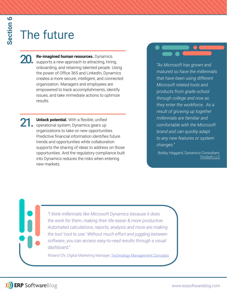# The future

20. Re-imagined human resources. Dynamics<br>
supports a new approach to attracting, hiring, onboarding, and retaining talented people. Using the power of Office 365 and LinkedIn, Dynamics creates a more secure, intelligent, and connected organization. Managers and employees are empowered to track accomplishments, identify issues, and take immediate actions to optimize results.

**Unlock potential.** With a flexible, unified operational system, Dynamics gears up organizations to take on new opportunities. Predictive financial information identifies future trends and opportunities while collaboration supports the sharing of ideas to address on those opportunities. And the regulatory compliance built into Dynamics reduces the risks when entering new markets.

*"As Microsoft has grown and matured so have the millennials that have been using different Microsoft related tools and products from grade school through college and now as they enter the workforce. As a result of growing up together millennials are familiar and comfortable with the Microsoft brand and can quickly adapt to any new features or system changes."*

Bobby Haggard, Dynamics Consultant, TrinSoft LLC

*"I think millennials like Microsoft Dynamics because it does the work for them, making their life easier & more productive. Automated calculations, reports, analysis and more are making the tool 'cool to use.' Without much effort and juggling between software, you can access easy-to-read results through a visual dashboard."*

Roland Chi, Digital Marketing Manager, Technology Management Concepts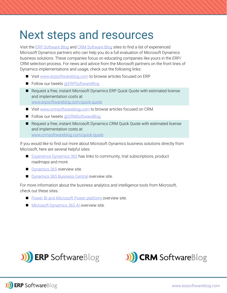### Next steps and resources

Visit the ERP Software Blog and CRM Software Blog sites to find a list of experienced Microsoft Dynamics partners who can help you do a full evaluation of Microsoft Dynamics business solutions. These companies focus on educating companies like yours in the ERP/ CRM selection process. For news and advice from the Microsoft partners on the front lines of Dynamics implementations and usage, check out the following links:

- Visit www.erpsoftwareblog.com to browse articles focused on ERP.
- Follow our tweets @ERPSoftwareBlog
- Request a free, instant Microsoft Dynamics ERP Quick Quote with estimated license and implementation costs at www.erpsoftwareblog.com/quick-quote
- Visit www.crmsoftwareblog.com to browse articles focused on CRM.
- Follow our tweets @CRMSoftwareBlog
- Request a free, instant Microsoft Dynamics CRM Quick Quote with estimated license and implementation costs at www.crmsoftwareblog.com/quick-quote

If you would like to find out more about Microsoft Dynamics business solutions directly from Microsoft, here are several helpful sites:

- $\blacksquare$  Experience Dynamics 365 has links to community, trial subscriptions, product roadmaps and more.
- **Dynamics 365 overview site.**
- **Dynamics 365 Business Central overview site.**

For more information about the business analytics and intelligence tools from Microsoft, check out these sites:

- Power BI and Microsoft Power platform overview site.
- $\blacksquare$  Microsoft Dynamics 365 AI overview site.